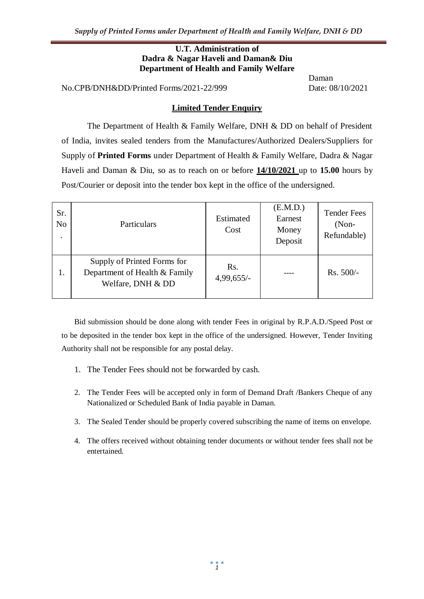#### **U.T. Administration of Dadra & Nagar Haveli and Daman& Diu Department of Health and Family Welfare**

No.CPB/DNH&DD/Printed Forms/2021-22/999 Date: 08/10/2021

Daman

#### **Limited Tender Enquiry**

The Department of Health & Family Welfare, DNH & DD on behalf of President of India, invites sealed tenders from the Manufactures/Authorized Dealers/Suppliers for Supply of **Printed Forms** under Department of Health & Family Welfare, Dadra & Nagar Haveli and Daman & Diu, so as to reach on or before **14/10/2021** up to **15.00** hours by Post/Courier or deposit into the tender box kept in the office of the undersigned.

| Sr.<br>N <sub>o</sub><br>٠ | Particulars                                                                       | Estimated<br>Cost                | (E.M.D.)<br>Earnest<br>Money<br>Deposit | <b>Tender Fees</b><br>$(Non-$<br>Refundable) |
|----------------------------|-----------------------------------------------------------------------------------|----------------------------------|-----------------------------------------|----------------------------------------------|
| 1.                         | Supply of Printed Forms for<br>Department of Health & Family<br>Welfare, DNH & DD | R <sub>S</sub> .<br>$4,99,655/-$ |                                         | Rs. 500/-                                    |

Bid submission should be done along with tender Fees in original by R.P.A.D./Speed Post or to be deposited in the tender box kept in the office of the undersigned. However, Tender Inviting Authority shall not be responsible for any postal delay.

- 1. The Tender Fees should not be forwarded by cash.
- 2. The Tender Fees will be accepted only in form of Demand Draft /Bankers Cheque of any Nationalized or Scheduled Bank of India payable in Daman.
- 3. The Sealed Tender should be properly covered subscribing the name of items on envelope.
- 4. The offers received without obtaining tender documents or without tender fees shall not be entertained.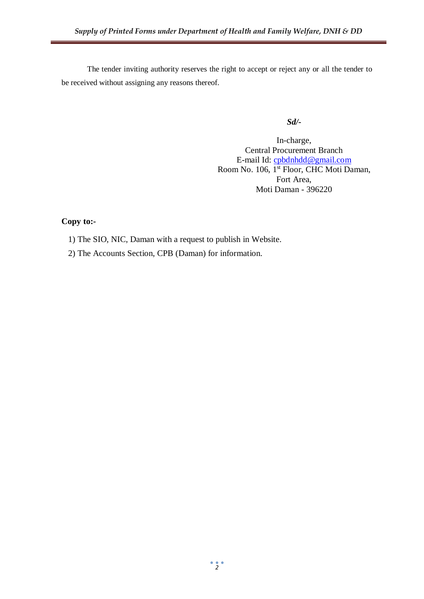The tender inviting authority reserves the right to accept or reject any or all the tender to be received without assigning any reasons thereof.

*Sd/-*

In-charge, Central Procurement Branch E-mail Id: [cpbdnhdd@gmail.com](mailto:cpbdnhdd@gmail.com) Room No. 106, 1<sup>st</sup> Floor, CHC Moti Daman, Fort Area, Moti Daman - 396220

## **Copy to:-**

- 1) The SIO, NIC, Daman with a request to publish in Website.
- 2) The Accounts Section, CPB (Daman) for information.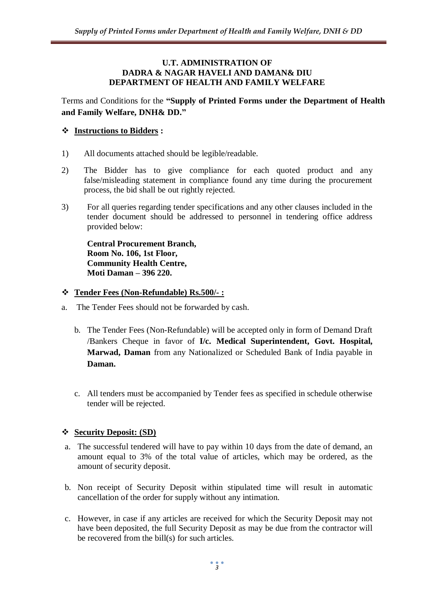#### **U.T. ADMINISTRATION OF DADRA & NAGAR HAVELI AND DAMAN& DIU DEPARTMENT OF HEALTH AND FAMILY WELFARE**

Terms and Conditions for the **"Supply of Printed Forms under the Department of Health and Family Welfare, DNH& DD."**

## **Instructions to Bidders :**

- 1) All documents attached should be legible/readable.
- 2) The Bidder has to give compliance for each quoted product and any false/misleading statement in compliance found any time during the procurement process, the bid shall be out rightly rejected.
- 3) For all queries regarding tender specifications and any other clauses included in the tender document should be addressed to personnel in tendering office address provided below:

**Central Procurement Branch, Room No. 106, 1st Floor, Community Health Centre, Moti Daman – 396 220.**

### **Tender Fees (Non-Refundable) Rs.500/- :**

- a. The Tender Fees should not be forwarded by cash.
	- b. The Tender Fees (Non-Refundable) will be accepted only in form of Demand Draft /Bankers Cheque in favor of **I/c. Medical Superintendent, Govt. Hospital, Marwad, Daman** from any Nationalized or Scheduled Bank of India payable in **Daman.**
	- c. All tenders must be accompanied by Tender fees as specified in schedule otherwise tender will be rejected.

### **Security Deposit: (SD)**

- a. The successful tendered will have to pay within 10 days from the date of demand, an amount equal to 3% of the total value of articles, which may be ordered, as the amount of security deposit.
- b. Non receipt of Security Deposit within stipulated time will result in automatic cancellation of the order for supply without any intimation.
- c. However, in case if any articles are received for which the Security Deposit may not have been deposited, the full Security Deposit as may be due from the contractor will be recovered from the bill(s) for such articles.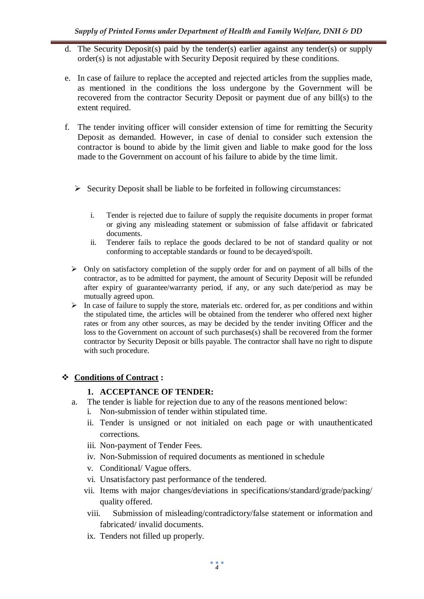- d. The Security Deposit(s) paid by the tender(s) earlier against any tender(s) or supply order(s) is not adjustable with Security Deposit required by these conditions.
- e. In case of failure to replace the accepted and rejected articles from the supplies made, as mentioned in the conditions the loss undergone by the Government will be recovered from the contractor Security Deposit or payment due of any bill(s) to the extent required.
- f. The tender inviting officer will consider extension of time for remitting the Security Deposit as demanded. However, in case of denial to consider such extension the contractor is bound to abide by the limit given and liable to make good for the loss made to the Government on account of his failure to abide by the time limit.
	- $\triangleright$  Security Deposit shall be liable to be forfeited in following circumstances:
		- i. Tender is rejected due to failure of supply the requisite documents in proper format or giving any misleading statement or submission of false affidavit or fabricated documents.
		- ii. Tenderer fails to replace the goods declared to be not of standard quality or not conforming to acceptable standards or found to be decayed/spoilt.
	- $\triangleright$  Only on satisfactory completion of the supply order for and on payment of all bills of the contractor, as to be admitted for payment, the amount of Security Deposit will be refunded after expiry of guarantee/warranty period, if any, or any such date/period as may be mutually agreed upon.
	- $\triangleright$  In case of failure to supply the store, materials etc. ordered for, as per conditions and within the stipulated time, the articles will be obtained from the tenderer who offered next higher rates or from any other sources, as may be decided by the tender inviting Officer and the loss to the Government on account of such purchases(s) shall be recovered from the former contractor by Security Deposit or bills payable. The contractor shall have no right to dispute with such procedure.

# **Conditions of Contract :**

### **1. ACCEPTANCE OF TENDER:**

- a. The tender is liable for rejection due to any of the reasons mentioned below:
	- i. Non-submission of tender within stipulated time.
	- ii. Tender is unsigned or not initialed on each page or with unauthenticated corrections.
	- iii. Non-payment of Tender Fees.
	- iv. Non-Submission of required documents as mentioned in schedule
	- v. Conditional/ Vague offers.
	- vi. Unsatisfactory past performance of the tendered.
	- vii. Items with major changes/deviations in specifications/standard/grade/packing/ quality offered.
	- viii. Submission of misleading/contradictory/false statement or information and fabricated/ invalid documents.
	- ix. Tenders not filled up properly.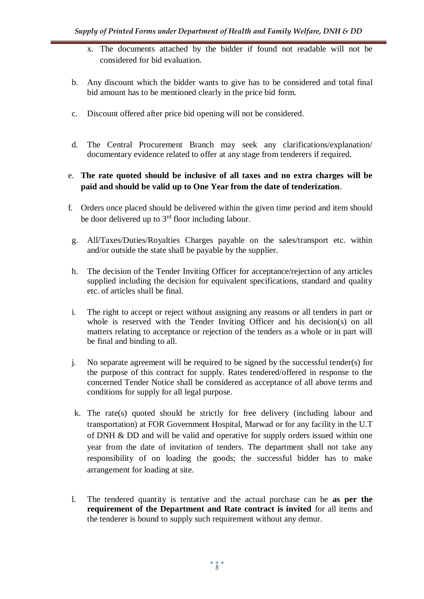- x. The documents attached by the bidder if found not readable will not be considered for bid evaluation.
- b. Any discount which the bidder wants to give has to be considered and total final bid amount has to be mentioned clearly in the price bid form.
- c. Discount offered after price bid opening will not be considered.
- d. The Central Procurement Branch may seek any clarifications/explanation/ documentary evidence related to offer at any stage from tenderers if required.

## e. **The rate quoted should be inclusive of all taxes and no extra charges will be paid and should be valid up to One Year from the date of tenderization**.

- f. Orders once placed should be delivered within the given time period and item should be door delivered up to  $3<sup>rd</sup>$  floor including labour.
- g. All/Taxes/Duties/Royalties Charges payable on the sales/transport etc. within and/or outside the state shall be payable by the supplier.
- h. The decision of the Tender Inviting Officer for acceptance/rejection of any articles supplied including the decision for equivalent specifications, standard and quality etc. of articles shall be final.
- i. The right to accept or reject without assigning any reasons or all tenders in part or whole is reserved with the Tender Inviting Officer and his decision(s) on all matters relating to acceptance or rejection of the tenders as a whole or in part will be final and binding to all.
- j. No separate agreement will be required to be signed by the successful tender(s) for the purpose of this contract for supply. Rates tendered/offered in response to the concerned Tender Notice shall be considered as acceptance of all above terms and conditions for supply for all legal purpose.
- k. The rate(s) quoted should be strictly for free delivery (including labour and transportation) at FOR Government Hospital, Marwad or for any facility in the U.T of DNH & DD and will be valid and operative for supply orders issued within one year from the date of invitation of tenders. The department shall not take any responsibility of on loading the goods; the successful bidder has to make arrangement for loading at site.
- l. The tendered quantity is tentative and the actual purchase can be **as per the requirement of the Department and Rate contract is invited** for all items and the tenderer is bound to supply such requirement without any demur.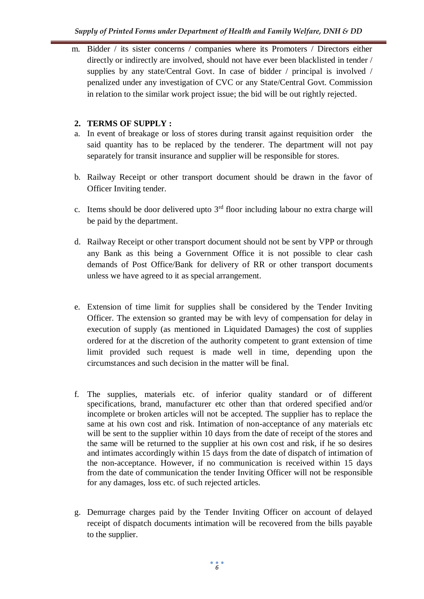m. Bidder / its sister concerns / companies where its Promoters / Directors either directly or indirectly are involved, should not have ever been blacklisted in tender / supplies by any state/Central Govt. In case of bidder / principal is involved / penalized under any investigation of CVC or any State/Central Govt. Commission in relation to the similar work project issue; the bid will be out rightly rejected.

## **2. TERMS OF SUPPLY :**

- a. In event of breakage or loss of stores during transit against requisition order the said quantity has to be replaced by the tenderer. The department will not pay separately for transit insurance and supplier will be responsible for stores.
- b. Railway Receipt or other transport document should be drawn in the favor of Officer Inviting tender.
- c. Items should be door delivered upto  $3<sup>rd</sup>$  floor including labour no extra charge will be paid by the department.
- d. Railway Receipt or other transport document should not be sent by VPP or through any Bank as this being a Government Office it is not possible to clear cash demands of Post Office/Bank for delivery of RR or other transport documents unless we have agreed to it as special arrangement.
- e. Extension of time limit for supplies shall be considered by the Tender Inviting Officer. The extension so granted may be with levy of compensation for delay in execution of supply (as mentioned in Liquidated Damages) the cost of supplies ordered for at the discretion of the authority competent to grant extension of time limit provided such request is made well in time, depending upon the circumstances and such decision in the matter will be final.
- f. The supplies, materials etc. of inferior quality standard or of different specifications, brand, manufacturer etc other than that ordered specified and/or incomplete or broken articles will not be accepted. The supplier has to replace the same at his own cost and risk. Intimation of non-acceptance of any materials etc will be sent to the supplier within 10 days from the date of receipt of the stores and the same will be returned to the supplier at his own cost and risk, if he so desires and intimates accordingly within 15 days from the date of dispatch of intimation of the non-acceptance. However, if no communication is received within 15 days from the date of communication the tender Inviting Officer will not be responsible for any damages, loss etc. of such rejected articles.
- g. Demurrage charges paid by the Tender Inviting Officer on account of delayed receipt of dispatch documents intimation will be recovered from the bills payable to the supplier.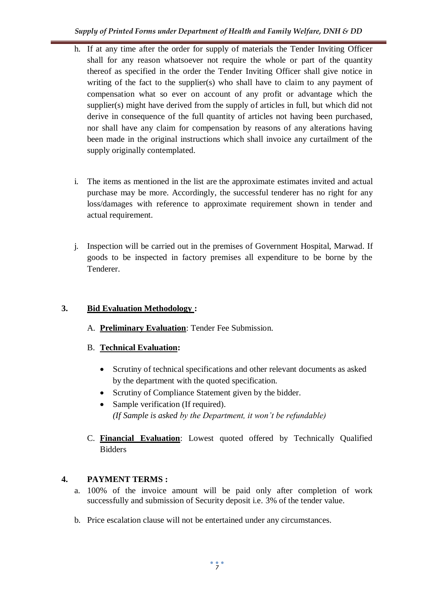- h. If at any time after the order for supply of materials the Tender Inviting Officer shall for any reason whatsoever not require the whole or part of the quantity thereof as specified in the order the Tender Inviting Officer shall give notice in writing of the fact to the supplier(s) who shall have to claim to any payment of compensation what so ever on account of any profit or advantage which the supplier(s) might have derived from the supply of articles in full, but which did not derive in consequence of the full quantity of articles not having been purchased, nor shall have any claim for compensation by reasons of any alterations having been made in the original instructions which shall invoice any curtailment of the supply originally contemplated.
- i. The items as mentioned in the list are the approximate estimates invited and actual purchase may be more. Accordingly, the successful tenderer has no right for any loss/damages with reference to approximate requirement shown in tender and actual requirement.
- j. Inspection will be carried out in the premises of Government Hospital, Marwad. If goods to be inspected in factory premises all expenditure to be borne by the Tenderer.

# **3. Bid Evaluation Methodology :**

- A. **Preliminary Evaluation**: Tender Fee Submission.
- B. **Technical Evaluation:** 
	- Scrutiny of technical specifications and other relevant documents as asked by the department with the quoted specification.
	- Scrutiny of Compliance Statement given by the bidder.
	- Sample verification (If required). *(If Sample is asked by the Department, it won't be refundable)*
- C. **Financial Evaluation**: Lowest quoted offered by Technically Qualified **Bidders**

# **4. PAYMENT TERMS :**

- a. 100% of the invoice amount will be paid only after completion of work successfully and submission of Security deposit i.e. 3% of the tender value.
- b. Price escalation clause will not be entertained under any circumstances.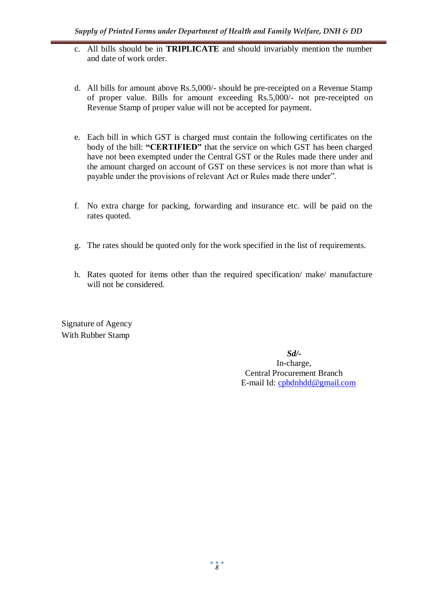- c. All bills should be in **TRIPLICATE** and should invariably mention the number and date of work order.
- d. All bills for amount above Rs.5,000/- should be pre-receipted on a Revenue Stamp of proper value. Bills for amount exceeding Rs.5,000/- not pre-receipted on Revenue Stamp of proper value will not be accepted for payment.
- e. Each bill in which GST is charged must contain the following certificates on the body of the bill: **"CERTIFIED"** that the service on which GST has been charged have not been exempted under the Central GST or the Rules made there under and the amount charged on account of GST on these services is not more than what is payable under the provisions of relevant Act or Rules made there under".
- f. No extra charge for packing, forwarding and insurance etc. will be paid on the rates quoted.
- g. The rates should be quoted only for the work specified in the list of requirements.
- h. Rates quoted for items other than the required specification/ make/ manufacture will not be considered.

Signature of Agency With Rubber Stamp

> *Sd/-* In-charge, Central Procurement Branch E-mail Id: [cpbdnhdd@gmail.com](mailto:cpbdnhdd@gmail.com)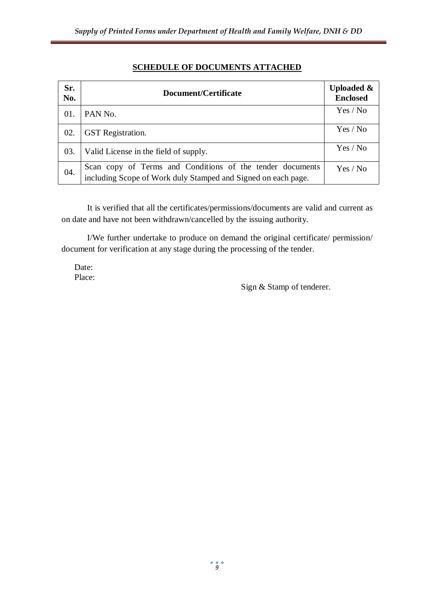| Sr.<br>No. | Document/Certificate                                                                                                       | <b>Uploaded &amp;</b><br><b>Enclosed</b> |
|------------|----------------------------------------------------------------------------------------------------------------------------|------------------------------------------|
| 01.        | PAN No.                                                                                                                    | Yes / No                                 |
| 02.        | <b>GST</b> Registration.                                                                                                   | Yes / No                                 |
| 03.        | Valid License in the field of supply.                                                                                      | Yes / No                                 |
| 04.        | Scan copy of Terms and Conditions of the tender documents<br>including Scope of Work duly Stamped and Signed on each page. | Yes / No                                 |

# **SCHEDULE OF DOCUMENTS ATTACHED**

It is verified that all the certificates/permissions/documents are valid and current as on date and have not been withdrawn/cancelled by the issuing authority.

I/We further undertake to produce on demand the original certificate/ permission/ document for verification at any stage during the processing of the tender.

Date: Place:

Sign & Stamp of tenderer.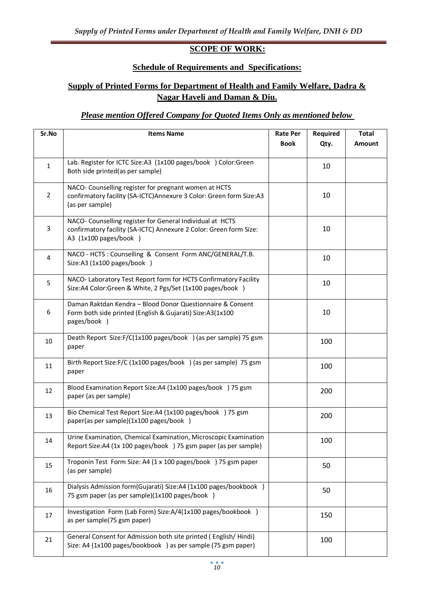# **SCOPE OF WORK:**

## **Schedule of Requirements and Specifications:**

# **Supply of Printed Forms for Department of Health and Family Welfare, Dadra & Nagar Haveli and Daman & Diu.**

# *Please mention Offered Company for Quoted Items Only as mentioned below*

| Sr.No          | <b>Items Name</b>                                                                                                                                        | <b>Rate Per</b><br><b>Book</b> | Required<br>Qty. | <b>Total</b><br>Amount |
|----------------|----------------------------------------------------------------------------------------------------------------------------------------------------------|--------------------------------|------------------|------------------------|
| $\mathbf 1$    | Lab. Register for ICTC Size:A3 (1x100 pages/book ) Color:Green<br>Both side printed(as per sample)                                                       |                                | 10               |                        |
| $\overline{2}$ | NACO- Counselling register for pregnant women at HCTS<br>confirmatory facility (SA-ICTC) Annexure 3 Color: Green form Size:A3<br>(as per sample)         |                                | 10               |                        |
| 3              | NACO- Counselling register for General Individual at HCTS<br>confirmatory facility (SA-ICTC) Annexure 2 Color: Green form Size:<br>A3 (1x100 pages/book) |                                | 10               |                        |
| 4              | NACO - HCTS : Counselling & Consent Form ANC/GENERAL/T.B.<br>Size:A3 (1x100 pages/book )                                                                 |                                | 10               |                        |
| 5              | NACO- Laboratory Test Report form for HCTS Confirmatory Facility<br>Size:A4 Color:Green & White, 2 Pgs/Set (1x100 pages/book )                           |                                | 10               |                        |
| 6              | Daman Raktdan Kendra - Blood Donor Questionnaire & Consent<br>Form both side printed (English & Gujarati) Size:A3(1x100<br>pages/book )                  |                                | 10               |                        |
| 10             | Death Report Size:F/C(1x100 pages/book ) (as per sample) 75 gsm<br>paper                                                                                 |                                | 100              |                        |
| 11             | Birth Report Size:F/C (1x100 pages/book ) (as per sample) 75 gsm<br>paper                                                                                |                                | 100              |                        |
| 12             | Blood Examination Report Size:A4 (1x100 pages/book ) 75 gsm<br>paper (as per sample)                                                                     |                                | 200              |                        |
| 13             | Bio Chemical Test Report Size:A4 (1x100 pages/book ) 75 gsm<br>paper(as per sample)(1x100 pages/book )                                                   |                                | 200              |                        |
| 14             | Urine Examination, Chemical Examination, Microscopic Examination<br>Report Size:A4 (1x 100 pages/book ) 75 gsm paper (as per sample)                     |                                | 100              |                        |
| 15             | Troponin Test Form Size: A4 (1 x 100 pages/book ) 75 gsm paper<br>(as per sample)                                                                        |                                | 50               |                        |
| 16             | Dialysis Admission form(Gujarati) Size:A4 (1x100 pages/bookbook )<br>75 gsm paper (as per sample)(1x100 pages/book )                                     |                                | 50               |                        |
| 17             | Investigation Form (Lab Form) Size:A/4(1x100 pages/bookbook )<br>as per sample(75 gsm paper)                                                             |                                | 150              |                        |
| 21             | General Consent for Admission both site printed (English/Hindi)<br>Size: A4 (1x100 pages/bookbook) as per sample (75 gsm paper)                          |                                | 100              |                        |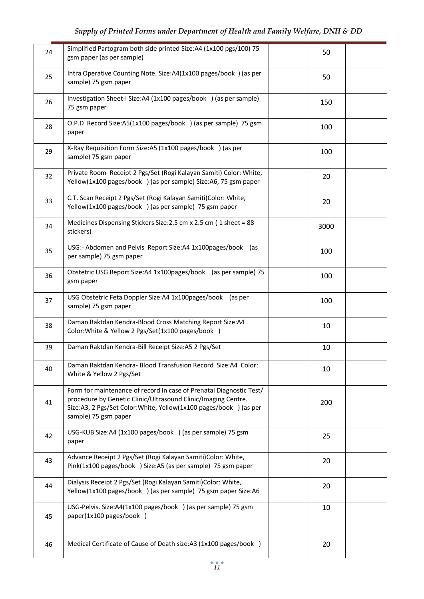| 24 | Simplified Partogram both side printed Size:A4 (1x100 pgs/100) 75<br>gsm paper (as per sample)                                                                                                                                    | 50   |  |
|----|-----------------------------------------------------------------------------------------------------------------------------------------------------------------------------------------------------------------------------------|------|--|
| 25 | Intra Operative Counting Note. Size:A4(1x100 pages/book) (as per<br>sample) 75 gsm paper                                                                                                                                          | 50   |  |
| 26 | Investigation Sheet-I Size:A4 (1x100 pages/book ) (as per sample)<br>75 gsm paper                                                                                                                                                 | 150  |  |
| 28 | O.P.D Record Size:A5(1x100 pages/book ) (as per sample) 75 gsm<br>paper                                                                                                                                                           | 100  |  |
| 29 | X-Ray Requisition Form Size:A5 (1x100 pages/book) (as per<br>sample) 75 gsm paper                                                                                                                                                 | 100  |  |
| 32 | Private Room Receipt 2 Pgs/Set (Rogi Kalayan Samiti) Color: White,<br>Yellow(1x100 pages/book ) (as per sample) Size:A6, 75 gsm paper                                                                                             | 20   |  |
| 33 | C.T. Scan Receipt 2 Pgs/Set (Rogi Kalayan Samiti)Color: White,<br>Yellow(1x100 pages/book ) (as per sample) 75 gsm paper                                                                                                          | 20   |  |
| 34 | Medicines Dispensing Stickers Size: 2.5 cm x 2.5 cm (1 sheet = 88<br>stickers)                                                                                                                                                    | 3000 |  |
| 35 | USG:- Abdomen and Pelvis Report Size:A4 1x100pages/book (as<br>per sample) 75 gsm paper                                                                                                                                           | 100  |  |
| 36 | Obstetric USG Report Size:A4 1x100pages/book (as per sample) 75<br>gsm paper                                                                                                                                                      | 100  |  |
| 37 | USG Obstetric Feta Doppler Size:A4 1x100pages/book (as per<br>sample) 75 gsm paper                                                                                                                                                | 100  |  |
| 38 | Daman Raktdan Kendra-Blood Cross Matching Report Size:A4<br>Color: White & Yellow 2 Pgs/Set(1x100 pages/book )                                                                                                                    | 10   |  |
| 39 | Daman Raktdan Kendra-Bill Receipt Size:A5 2 Pgs/Set                                                                                                                                                                               | 10   |  |
| 40 | Daman Raktdan Kendra- Blood Transfusion Record Size:A4 Color:<br>White & Yellow 2 Pgs/Set                                                                                                                                         | 10   |  |
| 41 | Form for maintenance of record in case of Prenatal Diagnostic Test/<br>procedure by Genetic Clinic/Ultrasound Clinic/Imaging Centre.<br>Size:A3, 2 Pgs/Set Color:White, Yellow(1x100 pages/book ) (as per<br>sample) 75 gsm paper | 200  |  |
| 42 | USG-KUB Size:A4 (1x100 pages/book) (as per sample) 75 gsm<br>paper                                                                                                                                                                | 25   |  |
| 43 | Advance Receipt 2 Pgs/Set (Rogi Kalayan Samiti)Color: White,<br>Pink(1x100 pages/book ) Size:A5 (as per sample) 75 gsm paper                                                                                                      | 20   |  |
| 44 | Dialysis Receipt 2 Pgs/Set (Rogi Kalayan Samiti)Color: White,<br>Yellow(1x100 pages/book ) (as per sample) 75 gsm paper Size:A6                                                                                                   | 20   |  |
| 45 | USG-Pelvis. Size:A4(1x100 pages/book ) (as per sample) 75 gsm<br>paper(1x100 pages/book )                                                                                                                                         | 10   |  |
| 46 | Medical Certificate of Cause of Death size:A3 (1x100 pages/book )                                                                                                                                                                 | 20   |  |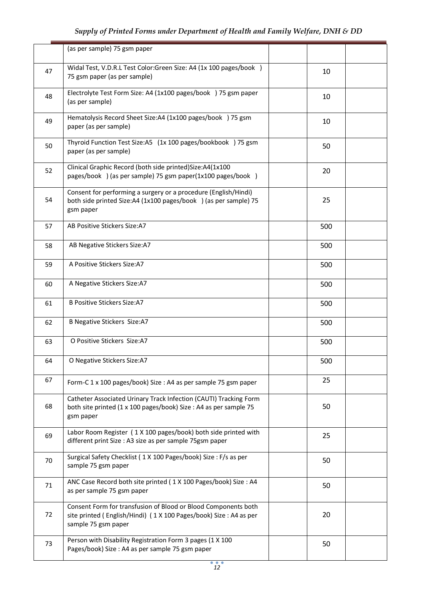|    | (as per sample) 75 gsm paper                                                                                                                               |     |  |
|----|------------------------------------------------------------------------------------------------------------------------------------------------------------|-----|--|
| 47 | Widal Test, V.D.R.L Test Color:Green Size: A4 (1x 100 pages/book )<br>75 gsm paper (as per sample)                                                         | 10  |  |
| 48 | Electrolyte Test Form Size: A4 (1x100 pages/book ) 75 gsm paper<br>(as per sample)                                                                         | 10  |  |
| 49 | Hematolysis Record Sheet Size:A4 (1x100 pages/book ) 75 gsm<br>paper (as per sample)                                                                       | 10  |  |
| 50 | Thyroid Function Test Size:A5 (1x 100 pages/bookbook) 75 gsm<br>paper (as per sample)                                                                      | 50  |  |
| 52 | Clinical Graphic Record (both side printed) Size: A4(1x100<br>pages/book ) (as per sample) 75 gsm paper(1x100 pages/book )                                 | 20  |  |
| 54 | Consent for performing a surgery or a procedure (English/Hindi)<br>both side printed Size:A4 (1x100 pages/book ) (as per sample) 75<br>gsm paper           | 25  |  |
| 57 | AB Positive Stickers Size:A7                                                                                                                               | 500 |  |
| 58 | AB Negative Stickers Size:A7                                                                                                                               | 500 |  |
| 59 | A Positive Stickers Size:A7                                                                                                                                | 500 |  |
| 60 | A Negative Stickers Size:A7                                                                                                                                | 500 |  |
| 61 | <b>B Positive Stickers Size:A7</b>                                                                                                                         | 500 |  |
| 62 | <b>B Negative Stickers Size:A7</b>                                                                                                                         | 500 |  |
| 63 | O Positive Stickers Size:A7                                                                                                                                | 500 |  |
| 64 | O Negative Stickers Size:A7                                                                                                                                | 500 |  |
| 67 | Form-C 1 x 100 pages/book) Size : A4 as per sample 75 gsm paper                                                                                            | 25  |  |
| 68 | Catheter Associated Urinary Track Infection (CAUTI) Tracking Form<br>both site printed (1 x 100 pages/book) Size : A4 as per sample 75<br>gsm paper        | 50  |  |
| 69 | Labor Room Register (1 X 100 pages/book) both side printed with<br>different print Size : A3 size as per sample 75gsm paper                                | 25  |  |
| 70 | Surgical Safety Checklist (1X 100 Pages/book) Size: F/s as per<br>sample 75 gsm paper                                                                      | 50  |  |
| 71 | ANC Case Record both site printed (1X 100 Pages/book) Size: A4<br>as per sample 75 gsm paper                                                               | 50  |  |
| 72 | Consent Form for transfusion of Blood or Blood Components both<br>site printed (English/Hindi) (1 X 100 Pages/book) Size: A4 as per<br>sample 75 gsm paper | 20  |  |
| 73 | Person with Disability Registration Form 3 pages (1 X 100<br>Pages/book) Size : A4 as per sample 75 gsm paper                                              | 50  |  |